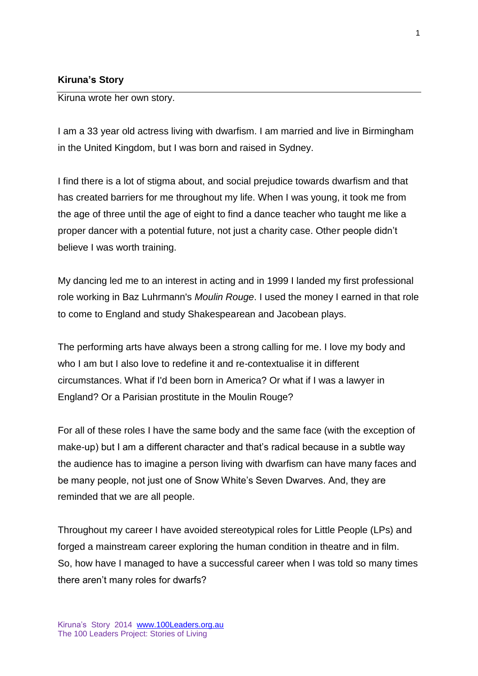## **Kiruna's Story**

Kiruna wrote her own story.

I am a 33 year old actress living with dwarfism. I am married and live in Birmingham in the United Kingdom, but I was born and raised in Sydney.

I find there is a lot of stigma about, and social prejudice towards dwarfism and that has created barriers for me throughout my life. When I was young, it took me from the age of three until the age of eight to find a dance teacher who taught me like a proper dancer with a potential future, not just a charity case. Other people didn't believe I was worth training.

My dancing led me to an interest in acting and in 1999 I landed my first professional role working in Baz Luhrmann's *Moulin Rouge*. I used the money I earned in that role to come to England and study Shakespearean and Jacobean plays.

The performing arts have always been a strong calling for me. I love my body and who I am but I also love to redefine it and re-contextualise it in different circumstances. What if I'd been born in America? Or what if I was a lawyer in England? Or a Parisian prostitute in the Moulin Rouge?

For all of these roles I have the same body and the same face (with the exception of make-up) but I am a different character and that's radical because in a subtle way the audience has to imagine a person living with dwarfism can have many faces and be many people, not just one of Snow White's Seven Dwarves. And, they are reminded that we are all people.

Throughout my career I have avoided stereotypical roles for Little People (LPs) and forged a mainstream career exploring the human condition in theatre and in film. So, how have I managed to have a successful career when I was told so many times there aren't many roles for dwarfs?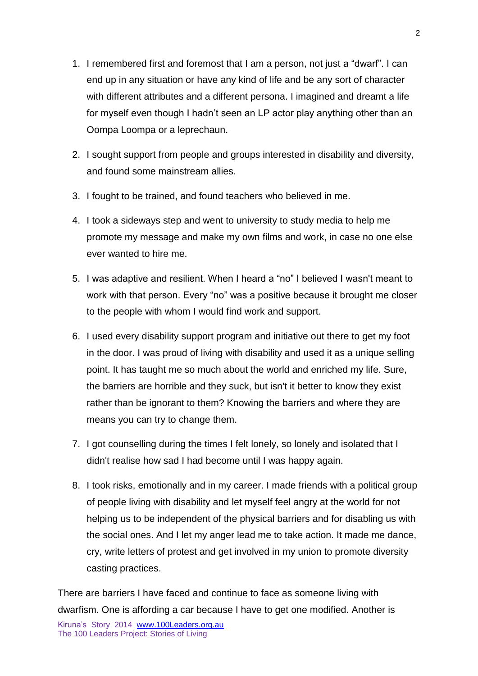- 1. I remembered first and foremost that I am a person, not just a "dwarf". I can end up in any situation or have any kind of life and be any sort of character with different attributes and a different persona. I imagined and dreamt a life for myself even though I hadn't seen an LP actor play anything other than an Oompa Loompa or a leprechaun.
- 2. I sought support from people and groups interested in disability and diversity, and found some mainstream allies.
- 3. I fought to be trained, and found teachers who believed in me.
- 4. I took a sideways step and went to university to study media to help me promote my message and make my own films and work, in case no one else ever wanted to hire me.
- 5. I was adaptive and resilient. When I heard a "no" I believed I wasn't meant to work with that person. Every "no" was a positive because it brought me closer to the people with whom I would find work and support.
- 6. I used every disability support program and initiative out there to get my foot in the door. I was proud of living with disability and used it as a unique selling point. It has taught me so much about the world and enriched my life. Sure, the barriers are horrible and they suck, but isn't it better to know they exist rather than be ignorant to them? Knowing the barriers and where they are means you can try to change them.
- 7. I got counselling during the times I felt lonely, so lonely and isolated that I didn't realise how sad I had become until I was happy again.
- 8. I took risks, emotionally and in my career. I made friends with a political group of people living with disability and let myself feel angry at the world for not helping us to be independent of the physical barriers and for disabling us with the social ones. And I let my anger lead me to take action. It made me dance, cry, write letters of protest and get involved in my union to promote diversity casting practices.

There are barriers I have faced and continue to face as someone living with dwarfism. One is affording a car because I have to get one modified. Another is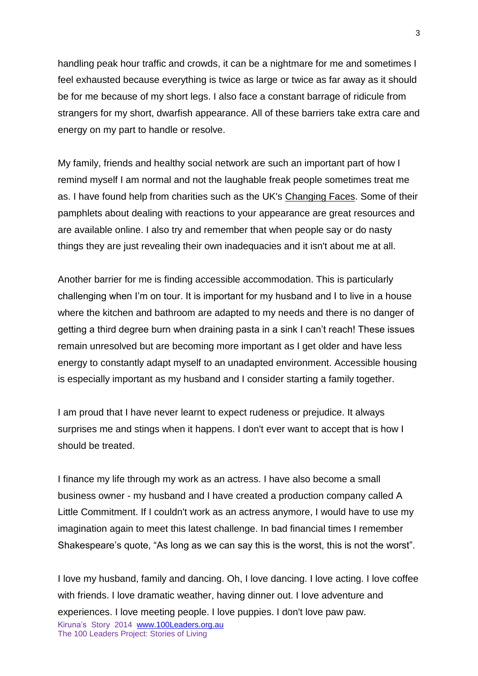handling peak hour traffic and crowds, it can be a nightmare for me and sometimes I feel exhausted because everything is twice as large or twice as far away as it should be for me because of my short legs. I also face a constant barrage of ridicule from strangers for my short, dwarfish appearance. All of these barriers take extra care and energy on my part to handle or resolve.

My family, friends and healthy social network are such an important part of how I remind myself I am normal and not the laughable freak people sometimes treat me as. I have found help from charities such as the UK's [Changing Faces.](https://www.changingfaces.org.uk/Home) Some of their pamphlets about dealing with reactions to your appearance are great resources and are available online. I also try and remember that when people say or do nasty things they are just revealing their own inadequacies and it isn't about me at all.

Another barrier for me is finding accessible accommodation. This is particularly challenging when I'm on tour. It is important for my husband and I to live in a house where the kitchen and bathroom are adapted to my needs and there is no danger of getting a third degree burn when draining pasta in a sink I can't reach! These issues remain unresolved but are becoming more important as I get older and have less energy to constantly adapt myself to an unadapted environment. Accessible housing is especially important as my husband and I consider starting a family together.

I am proud that I have never learnt to expect rudeness or prejudice. It always surprises me and stings when it happens. I don't ever want to accept that is how I should be treated.

I finance my life through my work as an actress. I have also become a small business owner - my husband and I have created a production company called A Little Commitment. If I couldn't work as an actress anymore, I would have to use my imagination again to meet this latest challenge. In bad financial times I remember Shakespeare's quote, "As long as we can say this is the worst, this is not the worst".

Kiruna's Story 2014 www.100Leaders.org.au The 100 Leaders Project: Stories of Living I love my husband, family and dancing. Oh, I love dancing. I love acting. I love coffee with friends. I love dramatic weather, having dinner out. I love adventure and experiences. I love meeting people. I love puppies. I don't love paw paw.